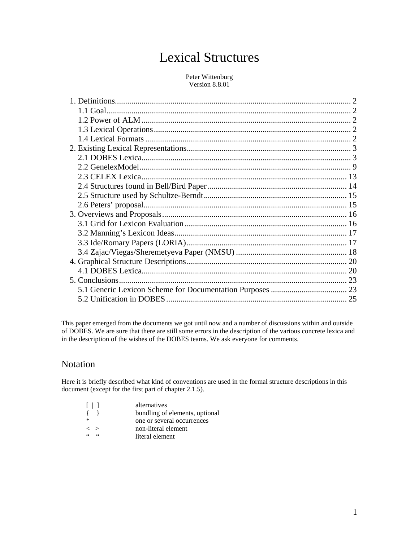# Lexical Structures

### Peter Wittenburg Version 8.8.01

This paper emerged from the documents we got until now and a number of discussions within and outside of DOBES. We are sure that there are still some errors in the description of the various concrete lexica and in the description of the wishes of the DOBES teams. We ask everyone for comments.

## Notation

Here it is briefly described what kind of conventions are used in the formal structure descriptions in this document (except for the first part of chapter 2.1.5).

| $\Box$              | alternatives                   |
|---------------------|--------------------------------|
| $\left\{ \right.$   | bundling of elements, optional |
| $\ast$              | one or several occurrences     |
| $\langle \ \rangle$ | non-literal element            |
| 66                  | literal element                |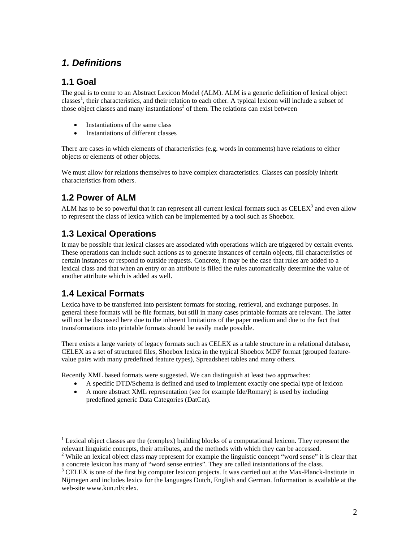## *1. Definitions*

## **1.1 Goal**

The goal is to come to an Abstract Lexicon Model (ALM). ALM is a generic definition of lexical object classes<sup>1</sup>, their characteristics, and their relation to each other. A typical lexicon will include a subset of those object classes and many instantiations<sup>2</sup> of them. The relations can exist between

- Instantiations of the same class
- Instantiations of different classes

There are cases in which elements of characteristics (e.g. words in comments) have relations to either objects or elements of other objects.

We must allow for relations themselves to have complex characteristics. Classes can possibly inherit characteristics from others.

## **1.2 Power of ALM**

ALM has to be so powerful that it can represent all current lexical formats such as  $\text{CELEX}^3$  and even allow to represent the class of lexica which can be implemented by a tool such as Shoebox.

## **1.3 Lexical Operations**

It may be possible that lexical classes are associated with operations which are triggered by certain events. These operations can include such actions as to generate instances of certain objects, fill characteristics of certain instances or respond to outside requests. Concrete, it may be the case that rules are added to a lexical class and that when an entry or an attribute is filled the rules automatically determine the value of another attribute which is added as well.

## **1.4 Lexical Formats**

 $\overline{a}$ 

Lexica have to be transferred into persistent formats for storing, retrieval, and exchange purposes. In general these formats will be file formats, but still in many cases printable formats are relevant. The latter will not be discussed here due to the inherent limitations of the paper medium and due to the fact that transformations into printable formats should be easily made possible.

There exists a large variety of legacy formats such as CELEX as a table structure in a relational database, CELEX as a set of structured files, Shoebox lexica in the typical Shoebox MDF format (grouped featurevalue pairs with many predefined feature types), Spreadsheet tables and many others.

Recently XML based formats were suggested. We can distinguish at least two approaches:

- A specific DTD/Schema is defined and used to implement exactly one special type of lexicon
- A more abstract XML representation (see for example Ide/Romary) is used by including predefined generic Data Categories (DatCat).

<sup>&</sup>lt;sup>1</sup> Lexical object classes are the (complex) building blocks of a computational lexicon. They represent the relevant linguistic concepts, their attributes, and the methods with which they can be accessed. 2

<sup>&</sup>lt;sup>2</sup> While an lexical object class may represent for example the linguistic concept "word sense" it is clear that a concrete lexicon has many of "word sense entries". They are called instantiations of the class. 3

<sup>&</sup>lt;sup>3</sup> CELEX is one of the first big computer lexicon projects. It was carried out at the Max-Planck-Institute in Nijmegen and includes lexica for the languages Dutch, English and German. Information is available at the web-site www.kun.nl/celex.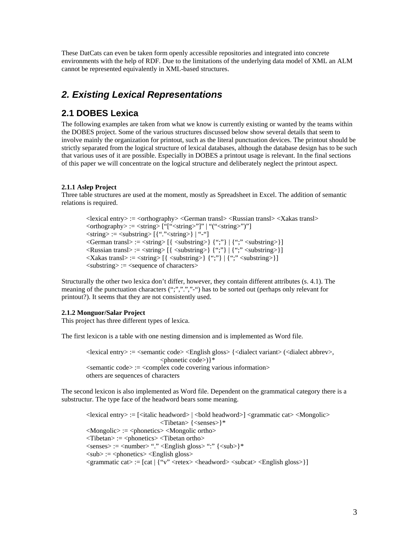These DatCats can even be taken form openly accessible repositories and integrated into concrete environments with the help of RDF. Due to the limitations of the underlying data model of XML an ALM cannot be represented equivalently in XML-based structures.

## *2. Existing Lexical Representations*

## **2.1 DOBES Lexica**

The following examples are taken from what we know is currently existing or wanted by the teams within the DOBES project. Some of the various structures discussed below show several details that seem to involve mainly the organization for printout, such as the literal punctuation devices. The printout should be strictly separated from the logical structure of lexical databases, although the database design has to be such that various uses of it are possible. Especially in DOBES a printout usage is relevant. In the final sections of this paper we will concentrate on the logical structure and deliberately neglect the printout aspect.

## **2.1.1 Aslep Project**

Three table structures are used at the moment, mostly as Spreadsheet in Excel. The addition of semantic relations is required.

 $\langle$ lexical entry $\rangle := \langle$ orthography $\rangle$  $\langle$ German transl $\rangle$  $\langle$ Russian transl $\rangle$  $\langle$ Xakas transl $\rangle$  $\langle \text{orthography} \rangle := \langle \text{string} \rangle$  ["[" $\langle \text{string} \rangle$ "]" | "(" $\langle \text{string} \rangle$ ")"]  $\langle$ string> :=  $\langle$ substring> [{"." $\langle$ string>} | "-"]  $\langle$ German transl $\rangle$  :=  $\langle$ string $\rangle$  [ $\langle$   $\langle$ substring $\rangle$ ]  $\langle$   $\rangle$   $\langle$   $\rangle$   $\rangle$   $\langle$   $\rangle$   $\langle$   $\rangle$   $\langle$   $\rangle$   $\langle$   $\rangle$   $\langle$   $\rangle$   $\langle$   $\rangle$   $\langle$   $\rangle$   $\langle$   $\rangle$   $\langle$   $\rangle$   $\langle$   $\rangle$   $\langle$   $\rangle$   $\langle$   $\rangle$   $\langle$   $\rangle$   $\langle$ Russian transl $\rangle := \langle$ string $\rangle$  [{ $\langle$ substring $\rangle$ } {";"} | {";"  $\langle$ substring $\rangle$ }]  $\langle Xakas \, trans \rangle := \langle string \rangle \left[ \langle \, \langle substring \rangle \right] \langle \, \langle \cdot, \cdot \rangle \rangle \, | \, \langle \cdot, \cdot \rangle \langle \langle substring \rangle \rangle \right]$  $\langle$ substring $\rangle$  :=  $\langle$ sequence of characters $\rangle$ 

Structurally the other two lexica don't differ, however, they contain different attributes (s. 4.1). The meaning of the punctuation characters (";",",","-") has to be sorted out (perhaps only relevant for printout?). It seems that they are not consistently used.

## **2.1.2 Monguor/Salar Project**

This project has three different types of lexica.

The first lexicon is a table with one nesting dimension and is implemented as Word file.

<lexical entry> := <semantic code> <English gloss> {<dialect variant> (<dialect abbrev>, <phonetic code>)}\* <semantic code> := <complex code covering various information> others are sequences of characters

The second lexicon is also implemented as Word file. Dependent on the grammatical category there is a substructur. The type face of the headword bears some meaning.

 $\langle$  =  $\langle$  =  $\rangle$  =  $\langle$   $\langle$  italic headword $\rangle$   $\langle$   $\langle$   $\rangle$  headword $\langle$   $\rangle$   $\langle$   $\rangle$   $\langle$   $\rangle$   $\langle$   $\rangle$   $\langle$   $\rangle$   $\langle$   $\rangle$   $\langle$   $\rangle$   $\langle$   $\rangle$   $\langle$   $\rangle$   $\langle$   $\rangle$   $\langle$   $\rangle$   $\langle$   $\rangle$   $\langle$   $\rangle$   $\langle$   $\rangle$   $\langle$   $\r$ <Tibetan> {<senses>}\*  $\langle\text{Mongolic}\rangle$  :=  $\langle\text{phonetics}\rangle$   $\langle\text{Mongolic ortho}\rangle$  $\langle$ Tibetan $\rangle$  :=  $\langle$ phonetics $\rangle$  $\langle$ Tibetan ortho $\rangle$ <senses> := <number> "." <English gloss> ":" {<sub>}\*  $\langle \text{sub} \rangle := \langle \text{phonetics} \rangle \langle \text{English gloss} \rangle$  $\langle$ grammatic cat $\rangle := [cat | {''v''} < rect>retex \rangle$   $\langle headword \rangle < subcat \rangle$   $\langle$  English gloss $\rangle ]$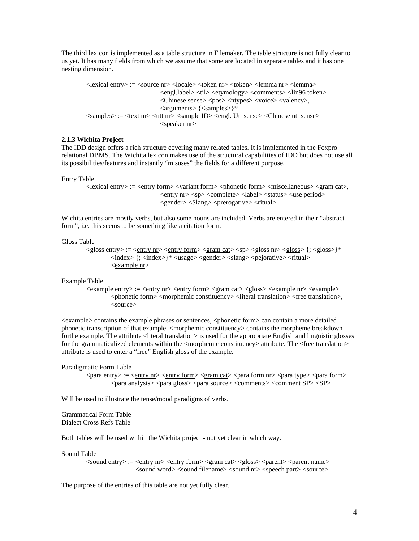The third lexicon is implemented as a table structure in Filemaker. The table structure is not fully clear to us yet. It has many fields from which we assume that some are located in separate tables and it has one nesting dimension.

<lexical entry> := <source nr> <locale> <token nr> <token> <lemma nr> <lemma> <engl.label> <til> <etymology> <comments> <lin96 token> <Chinese sense> <pos> <ntypes> <voice> <valency>, <arguments> {<samples>}\* <samples> := <text nr> <utt nr> <sample ID> <engl. Utt sense> <Chinese utt sense> <speaker nr>

### **2.1.3 Wichita Project**

The IDD design offers a rich structure covering many related tables. It is implemented in the Foxpro relational DBMS. The Wichita lexicon makes use of the structural capabilities of IDD but does not use all its possibilities/features and instantly "misuses" the fields for a different purpose.

#### Entry Table

<lexical entry> := <entry form> <variant form> <phonetic form> <miscellaneous> <gram cat>, <entry nr> <sp> <complete> <label> <status> <use period> <gender> <Slang> <prerogative> <ritual>

Wichita entries are mostly verbs, but also some nouns are included. Verbs are entered in their "abstract form", i.e. this seems to be something like a citation form.

#### Gloss Table

 $\langle$ gloss entry> :=  $\langle$ entry nr> $\langle$ entry form> $\langle$ gram cat> $\langle$ sp> $\langle$ gloss nr> $\langle$ gloss> $\rangle$ {;  $\langle$ gloss>}\*  $\langle$ index $>$ {;  $\langle$ index $>$ }\*  $\langle$ usage $>$  $\langle$ gender $>$  $\langle$ slang $>$  $\langle$ pejorative $>$  $\langle$ ritual $>$ <example nr>

#### Example Table

<example entry> := <entry nr> <entry form> <gram cat> <gloss> <example nr> <example> <phonetic form> <morphemic constituency> <literal translation> <free translation>, <source>

<example> contains the example phrases or sentences, <phonetic form> can contain a more detailed phonetic transcription of that example. <morphemic constituency> contains the morpheme breakdown forthe example. The attribute <literal translation> is used for the appropriate English and linguistic glosses for the grammaticalized elements within the <morphemic constituency> attribute. The <free translation> attribute is used to enter a "free" English gloss of the example.

#### Paradigmatic Form Table

<para entry> := <entry nr> <entry form> <gram cat> <para form nr> <para type> <para form> <para analysis> <para gloss> <para source> <comments> <comment SP> <SP>

Will be used to illustrate the tense/mood paradigms of verbs.

Grammatical Form Table Dialect Cross Refs Table

Both tables will be used within the Wichita project - not yet clear in which way.

#### Sound Table

<sound entry> := <entry nr> <entry form> <gram cat> <gloss> <parent> <parent name> <sound word> <sound filename> <sound nr> <speech part> <source>

The purpose of the entries of this table are not yet fully clear.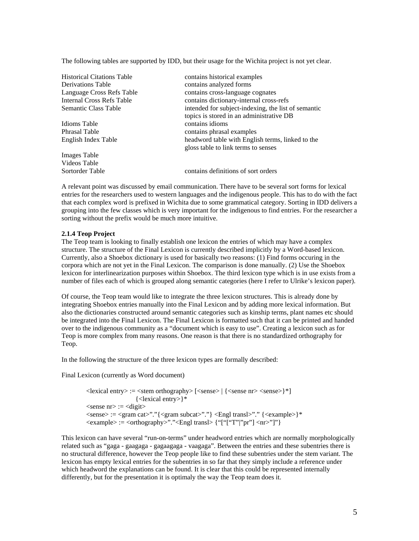The following tables are supported by IDD, but their usage for the Wichita project is not yet clear.

| <b>Historical Citations Table</b> | contains historical examples                                                            |
|-----------------------------------|-----------------------------------------------------------------------------------------|
| <b>Derivations Table</b>          | contains analyzed forms                                                                 |
| Language Cross Refs Table         | contains cross-language cognates                                                        |
| Internal Cross Refs Table         | contains dictionary-internal cross-refs                                                 |
| Semantic Class Table              | intended for subject-indexing, the list of semantic                                     |
|                                   | topics is stored in an administrative DB                                                |
| Idioms Table                      | contains idioms                                                                         |
| <b>Phrasal Table</b>              | contains phrasal examples                                                               |
| English Index Table               | headword table with English terms, linked to the<br>gloss table to link terms to senses |
| <b>Images Table</b>               |                                                                                         |
| Videos Table                      |                                                                                         |
| Sortorder Table                   | contains definitions of sort orders                                                     |

A relevant point was discussed by email communication. There have to be several sort forms for lexical entries for the researchers used to western languages and the indigenous people. This has to do with the fact that each complex word is prefixed in Wichita due to some grammatical category. Sorting in IDD delivers a grouping into the few classes which is very important for the indigenous to find entries. For the researcher a sorting without the prefix would be much more intuitive.

### **2.1.4 Teop Project**

The Teop team is looking to finally establish one lexicon the entries of which may have a complex structure. The structure of the Final Lexicon is currently described implicitly by a Word-based lexicon. Currently, also a Shoebox dictionary is used for basically two reasons: (1) Find forms occuring in the corpora which are not yet in the Final Lexicon. The comparison is done manually. (2) Use the Shoebox lexicon for interlinearization purposes within Shoebox. The third lexicon type which is in use exists from a number of files each of which is grouped along semantic categories (here I refer to Ulrike's lexicon paper).

Of course, the Teop team would like to integrate the three lexicon structures. This is already done by integrating Shoebox entries manually into the Final Lexicon and by adding more lexical information. But also the dictionaries constructed around semantic categories such as kinship terms, plant names etc should be integrated into the Final Lexicon. The Final Lexicon is formatted such that it can be printed and handed over to the indigenous community as a "document which is easy to use". Creating a lexicon such as for Teop is more complex from many reasons. One reason is that there is no standardized orthography for Teop.

In the following the structure of the three lexicon types are formally described:

Final Lexicon (currently as Word document)

<lexical entry> := <stem orthography> [<sense> | {<sense nr> <sense>}\*] {<lexical entry>}\*  $\le$ sense nr $\ge$  :=  $\le$ digit $\ge$ <sense> := <gram cat>"."{<gram subcat>"."} <Engl transl>"." {<example>}\*  $\langle$  =  $\langle$ orthography>"." $\langle$  Engl transl $\rangle$  {"["["T"|"pr"]  $\langle$ nr $\rangle$ "]"}

This lexicon can have several "run-on-terms" under headword entries which are normally morphologically related such as "gaga - gaagaga - gagaagaga - vaagaga". Between the entries and these subentries there is no structural difference, however the Teop people like to find these subentries under the stem variant. The lexicon has empty lexical entries for the subentries in so far that they simply include a reference under which headword the explanations can be found. It is clear that this could be represented internally differently, but for the presentation it is optimaly the way the Teop team does it.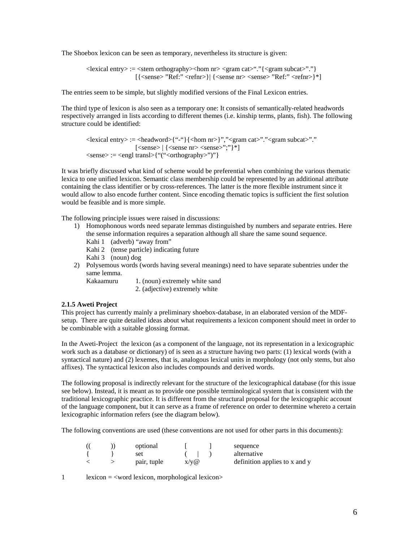The Shoebox lexicon can be seen as temporary, nevertheless its structure is given:

 $\langle$  =  $\langle$ stem orthography $\langle$ hom nr $\rangle$  $\langle$ gram cat $\rangle$ " $\langle$  $\langle$ gram subcat $\rangle$ "." $\rangle$  $[$ {<sense> "Ref:" <refnr>} $|$ {<sense nr> <sense> "Ref:" <refnr>}\*]

The entries seem to be simple, but slightly modified versions of the Final Lexicon entries.

The third type of lexicon is also seen as a temporary one: It consists of semantically-related headwords respectively arranged in lists according to different themes (i.e. kinship terms, plants, fish). The following structure could be identified:

 $\langle$  =  $\langle$  =  $\langle$  =  $\rangle$  =  $\langle$  =  $\langle$  =  $\rangle$  =  $\langle$  =  $\langle$  =  $\rangle$   $\langle$   $\rangle$   $\langle$  =  $\langle$  =  $\rangle$  =  $\langle$   $\rangle$   $\langle$   $\rangle$   $\langle$   $\rangle$   $\langle$   $\rangle$   $\langle$   $\rangle$   $\langle$   $\rangle$   $\langle$   $\rangle$   $\langle$   $\rangle$   $\langle$   $\rangle$   $\langle$   $\rangle$   $\langle$   $\rangle$   $\langle$   $\rangle$   $\$  $[<\text{sense}\rangle$   $[<\text{sense}$  nr> $<\text{sense}\rangle$ ";"}\*]  $\langle$  <sense $\rangle := \langle$  \engl transl $\rangle$ {"(" $\langle$  \corrhography $\rangle$ ")"}

It was briefly discussed what kind of scheme would be preferential when combining the various thematic lexica to one unified lexicon. Semantic class membership could be represented by an additional attribute containing the class identifier or by cross-references. The latter is the more flexible instrument since it would allow to also encode further content. Since encoding thematic topics is sufficient the first solution would be feasible and is more simple.

The following principle issues were raised in discussions:

- 1) Homophonous words need separate lemmas distinguished by numbers and separate entries. Here the sense information requires a separation although all share the same sound sequence.
	- Kahi 1 (adverb) "away from"
	- Kahi 2 (tense particle) indicating future
	- Kahi 3 (noun) dog
- 2) Polysemous words (words having several meanings) need to have separate subentries under the same lemma.

Kakaamuru 1. (noun) extremely white sand

2. (adjective) extremely white

#### **2.1.5 Aweti Project**

This project has currently mainly a preliminary shoebox-database, in an elaborated version of the MDFsetup. There are quite detailed ideas about what requirements a lexicon component should meet in order to be combinable with a suitable glossing format.

In the Aweti-Project the lexicon (as a component of the language, not its representation in a lexicographic work such as a database or dictionary) of is seen as a structure having two parts: (1) lexical words (with a syntactical nature) and (2) lexemes, that is, analogous lexical units in morphology (not only stems, but also affixes). The syntactical lexicon also includes compounds and derived words.

The following proposal is indirectly relevant for the structure of the lexicographical database (for this issue see below). Instead, it is meant as to provide one possible terminological system that is consistent with the traditional lexicographic practice. It is different from the structural proposal for the lexicographic account of the language component, but it can serve as a frame of reference on order to determine whereto a certain lexicographic information refers (see the diagram below).

The following conventions are used (these conventions are not used for other parts in this documents):

|  | optional    |         | sequence                      |
|--|-------------|---------|-------------------------------|
|  | set         |         | alternative                   |
|  | pair, tuple | $X/V$ @ | definition applies to x and y |

1 lexicon = <word lexicon, morphological lexicon>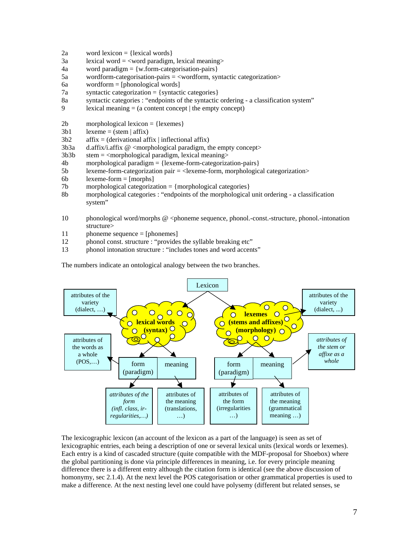- 2a word lexicon =  $\{lexical words\}$
- $3a$  lexical word =  $\langle$ word paradigm, lexical meaning>
- $4a$  word paradigm = {w.form-categorisation-pairs}
- 5a wordform-categorisation-pairs = <wordform, syntactic categorization>
- 6a wordform = [phonological words]
- $7a$  syntactic categorization = {syntactic categories}
- 8a syntactic categories : "endpoints of the syntactic ordering a classification system"
- 9 lexical meaning  $=$  (a content concept | the empty concept)
- $2b$  morphological lexicon = {lexemes}
- $3b1$  lexeme = (stem | affix)
- $3b2$  affix = (derivational affix | inflectional affix)
- $3b3a$  d.affix/i.affix @ <morphological paradigm, the empty concept>
- $3b3b$  stem =  $\langle$ morphological paradigm, lexical meaning $\rangle$
- 4b morphological paradigm = {lexeme-form-categorization-pairs}
- 5b lexeme-form-categorization pair = <lexeme-form, morphological categorization>
- $6b$  lexeme-form = [morphs]
- 7b morphological categorization = {morphological categories}
- 8b morphological categories : "endpoints of the morphological unit ordering a classification system"
- 10 phonological word/morphs @ <phoneme sequence, phonol.-const.-structure, phonol.-intonation structure>
- 11 phoneme sequence = [phonemes]
- 12 phonol const. structure : "provides the syllable breaking etc"
- 13 phonol intonation structure : "includes tones and word accents"

The numbers indicate an ontological analogy between the two branches.



The lexicographic lexicon (an account of the lexicon as a part of the language) is seen as set of lexicographic entries, each being a description of one or several lexical units (lexical words or lexemes). Each entry is a kind of cascaded structure (quite compatible with the MDF-proposal for Shoebox) where the global partitioning is done via principle differences in meaning, i.e. for every principle meaning difference there is a different entry although the citation form is identical (see the above discussion of homonymy, sec 2.1.4). At the next level the POS categorisation or other grammatical properties is used to make a difference. At the next nesting level one could have polysemy (different but related senses, se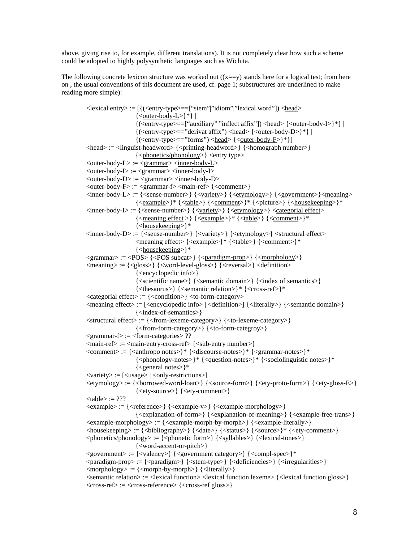above, giving rise to, for example, different translations). It is not completely clear how such a scheme could be adopted to highly polysynthetic languages such as Wichita.

The following concrete lexicon structure was worked out  $((x == y)$  stands here for a logical test; from here on , the usual conventions of this document are used, cf. page 1; substructures are underlined to make reading more simple):

```
<lexical entry> := [{(<entry-type>==["stem"|"idiom"|"lexical word"]) <head> 
                         \{\langle outer-body-L\rangle\}^*\}{({\langle entry-type>==["auxiliary"]}"inffect affix"]\langle head>\{\langle outer-body-I>\}^*\}\{({\langle entry-type>=}="derivative of first") \langle head \rangle {\langle outer-body-D \rangle}}^*|{({\langle entry-type \rangle} == "forms") \langle head \rangle {\langle outer-body-F \rangle}}^*{}\langle = \langle = \langle = \rangle = \langle = \rangle = \langle \rangle = \langle \rangle \langle \rangle \langle \rangle = \langle \rangle = \langle \rangle = \langle \rangle \langle \rangle \langle \rangle \langle \rangle \langle \rangle \rangle \langle \rangle \langle \rangle \langle \rangle \rangle \langle \rangle \rangle \langle  {<phonetics/phonology>} <entry type> 
\langleouter-body-L> := \langlegrammar>\langleinner-body-L>\langleouter-body-I> := \langlegrammar>\langleinner-body-I>\langle outer-body-D \rangle := \langle grammar \rangle \langle inner-body-D \rangle\langleouter-body-F> := \langlegrammar-f> \langlemain-ref>{\langlecomment>}
\langle = {\dispmath{\sigmat}}$ \end{\sigmat} {\sigmath{\sigmath{\sigmath{\sigmath{\sigmath{\sigmath{\sigmath{\sigmath{\sigmath{\sigmath{\sigmath{\sigmath{\sigmath{\sigmath{\sigmath{\sigmath{\sigmath{\sigmath{\sigmath{\sigma
                         {<example>}* {<table>} {<comment>}* {<picture>} {<housekeeping>}*
\langleinner-body-I> := {\langlesense-number> \} {\langle} {\langle<u>variety</u>>} {\langle} \langle etymology>} \langle categorial effect
                         {<meaning effect>} {<example>}^* {<table>} {<comment>}^*{<housekeeping>}* 
\langleinner-body-D> := {\langlesense-number> \} {\langle} {\langlevariety> \} {\langle} {\langleetymology> \rangle} \langlestructural effect><meaning effect> {<example>}* {<table>} {<comment>}* 
                         {<housekeeping>}* 
\langle \text{grammar} \rangle := \langle \text{POS} \rangle {\langle \text{POS} \rangle {\langle \text{paradigm-prop} \rangle } {\langle \text{morphology} \rangle}
\langle \text{meaning} \rangle := {\langle \text{glass} \rangle} {\langle \text{word-level-gloss} \rangle} {\langle \text{reversal} \rangle} {\langle \text{definition} \rangle}{<encyclopedic info>} 
                         {<scientific name>} {<semantic domain>} {<index of semantics>} 
                         {<thesaurus>} {<semantic relation>}* {<cross-ref>}*
<categorial effect> := {<condition>} <to-form-category>
\leq \leq \leq \leq \leq \leq \leq \leq \leq \leq \leq \leq \leq \leq \leq \leq \leq \leq \leq \leq \leq \leq \leq \leq \leq \leq \leq \leq \leq \leq \leq \leq \leq \leq \leq \leq \leq {<index-of-semantics>} 
<structural effect> := {<from-lexeme-category>} {<to-lexeme-category>} 
                         {<from-form-category>} {<to-form-categroy>} 
\leqgrammar-f\geq := \leqform-categories\geq ??
\langlemain-ref>\;:=\; \langlemain-entry-cross-ref>\;\langle \langlesub-entry number>\;\leqcomment>= {\leqanthropo notes>}* {\leqdiscourse-notes>}* {\leqgrammar-notes>}*
                         {<phonology-notes>}* {<question-notes>}* {<sociolinguistic notes>}* 
                         {<general notes>}* 
\langle \text{variety} \rangle := [\langle \text{usage} \rangle | \langle \text{only-restrictions} \rangle]\langle \text{etymology} \rangle := \{ \langle \text{forward-local} \rangle \} \{ \langle \text{source-form} \rangle \} \{ \langle \text{etyc-proto-form} \rangle \} \{ \langle \text{etycgloss-E} \rangle \}{<ety-source>} {<ety-comment>} 
<sub>table</sub> := ???</sub>
\langle \text{example} \rangle := \{ \langle \text{reference} \rangle \} \{ \langle \text{example-v} \rangle \} \{ \langle \text{example-morphology} \rangle \}{<explanation-of-form>} {<explanation-of-meaning>} {<example-free-trans>} 
<example-morphology> := {<example-morph-by-morph>} {<example-literally>} 
<housekeeping> := {<bibliography>} {<date>} {<status>} {<source>}* {<ety-comment>} 
\langlephonetics/phonology> := {\langlephonetic form>} {\langlesyllables>} {\langlelexical-tones>}
                         {<word-accent-or-pitch>} 
<government> := {<valency>} {<government category>} {<compl-spec>}* 
<paradigm-prop> := {<paradigm>} {<stem-type>} {<deficiencies>} {<irregularities>}
\langle \text{morphology} \rangle := \{ \langle \text{morph-by-morph} \rangle \} {\langle \text{literally} \rangle}
<semantic relation> := <lexical function> <lexical function lexeme> {<lexical function gloss>} 
<cross-ref> := <cross-reference> {<cross-ref gloss>}
```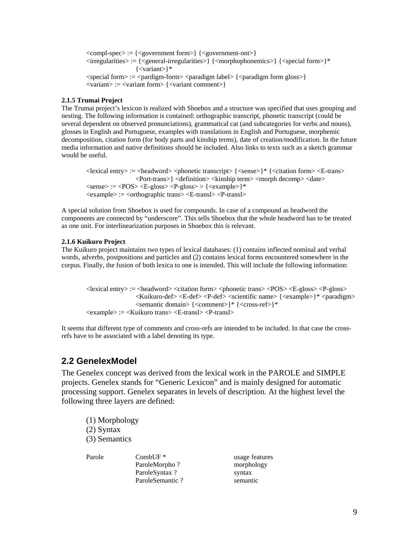<compl-spec> := {<government form>} {<government-ont>}  $\langle$ :  $\langle$   $\rangle$  = { $\langle$   $\rangle$  = { $\langle$   $\rangle$  = { $\langle$   $\rangle$  =  $\langle$   $\rangle$   $\rangle$   $\langle$   $\rangle$   $\langle$   $\rangle$   $\rangle$   $\langle$   $\rangle$   $\langle$   $\rangle$   $\rangle$   $\langle$   $\rangle$   $\rangle$   $\langle$   $\rangle$   $\rangle$   $\langle$   $\rangle$   $\rangle$   $\langle$   $\rangle$   $\rangle$   $\langle$   $\rangle$   $\rangle$   $\langle$   $\rangle$   $\rangle$   $\rangle$   $\rangle$ {<variant>}\*  $\langle$ special form $\rangle := \langle$ pardigm-form $\rangle \langle$ paradigm label $\rangle$  { $\langle$ paradigm form gloss $\rangle$ } <variant> := <variant form> {<variant comment>}

### **2.1.5 Trumai Project**

The Trumai project's lexicon is realized with Shoebox and a structure was specified that uses grouping and nesting. The following information is contained: orthographic transcript, phonetic transcript (could be several dependent on observed pronunciations), grammatical cat (and subcategories for verbs and nouns), glosses in English and Portuguese, examples with translations in English and Portuguese, morphemic decomposition, citation form (for body parts and kinship terms), date of creation/modification. In the future media information and native definitions should be included. Also links to texts such as a sketch grammar would be useful.

 $\langle$  =  $\langle$  =  $\langle$   $\rangle$  =  $\langle$  =  $\langle$   $\rangle$   $\langle$   $\rangle$   $\langle$   $\rangle$   $\langle$   $\rangle$   $\langle$   $\rangle$   $\langle$   $\rangle$   $\langle$   $\rangle$   $\langle$   $\rangle$   $\langle$   $\rangle$   $\langle$   $\rangle$   $\langle$   $\rangle$   $\langle$   $\rangle$   $\langle$   $\rangle$   $\langle$   $\rangle$   $\langle$   $\rangle$   $\langle$   $\rangle$   $\langle$   $\rangle$   $\langle$   $\rangle$   $\langle$   $\rangle$ <Port-trans>} <definition> <kinship term> <morph decomp> <date>  $\langle$ sense $\rangle := \langle POS \rangle \langle E-gloss \rangle \langle P-gloss \rangle > \langle \langle example \rangle \rangle^*$  $\langle$ example $\rangle$  :=  $\langle$ orthographic trans $\rangle$   $\langle$ E-transl $\rangle$  $\langle$ P-transl $\rangle$ 

A special solution from Shoebox is used for compounds. In case of a compound as headword the components are connected by "underscore". This tells Shoebox that the whole headword has to be treated as one unit. For interlinearization purposes in Shoebox this is relevant.

### **2.1.6 Kuikuro Project**

The Kuikuro project maintains two types of lexical databases: (1) contains inflected nominal and verbal words, adverbs, postpositions and particles and (2) contains lexical forms encountered somewhere in the corpus. Finally, the fusion of both lexica to one is intended. This will include the following information:

 $\langle$  =  $\langle$  =  $\rangle$  =  $\langle$  =  $\langle$  =  $\rangle$  =  $\langle$  =  $\rangle$   $\langle$  =  $\langle$  =  $\rangle$   $\langle$  =  $\rangle$   $\langle$  =  $\rangle$   $\langle$  =  $\rangle$   $\langle$  =  $\rangle$   $\langle$  =  $\rangle$   $\langle$  =  $\rangle$   $\langle$   $\rangle$   $\langle$   $\rangle$   $\langle$   $\rangle$   $\langle$   $\rangle$   $\langle$   $\rangle$   $\langle$   $\rangle$   $\langle$   $\rangle$   $\langle$  <Kuikuro-def> <E-def> <P-def> <scientific name> {<example>}\* <paradigm> <semantic domain> {<comment>}\* {<cross-ref>}\* <example> := <Kuikuro trans> <E-transl> <P-transl>

It seems that different type of comments and cross-refs are intended to be included. In that case the crossrefs have to be associated with a label denoting its type.

## **2.2 GenelexModel**

The Genelex concept was derived from the lexical work in the PAROLE and SIMPLE projects. Genelex stands for "Generic Lexicon" and is mainly designed for automatic processing support. Genelex separates in levels of description. At the highest level the following three layers are defined:

(1) Morphology (2) Syntax (3) Semantics

Parole CombUF \* usage features ParoleMorpho ? morphology ParoleSyntax ? syntax ParoleSemantic ? Semantic ParoleSemantic ?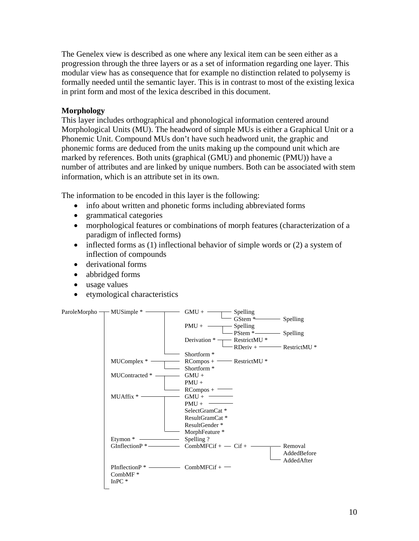The Genelex view is described as one where any lexical item can be seen either as a progression through the three layers or as a set of information regarding one layer. This modular view has as consequence that for example no distinction related to polysemy is formally needed until the semantic layer. This is in contrast to most of the existing lexica in print form and most of the lexica described in this document.

## **Morphology**

This layer includes orthographical and phonological information centered around Morphological Units (MU). The headword of simple MUs is either a Graphical Unit or a Phonemic Unit. Compound MUs don't have such headword unit, the graphic and phonemic forms are deduced from the units making up the compound unit which are marked by references. Both units (graphical (GMU) and phonemic (PMU)) have a number of attributes and are linked by unique numbers. Both can be associated with stem information, which is an attribute set in its own.

The information to be encoded in this layer is the following:

- info about written and phonetic forms including abbreviated forms
- grammatical categories
- morphological features or combinations of morph features (characterization of a paradigm of inflected forms)
- inflected forms as (1) inflectional behavior of simple words or (2) a system of inflection of compounds
- derivational forms
- abbridged forms
- usage values
- etymological characteristics

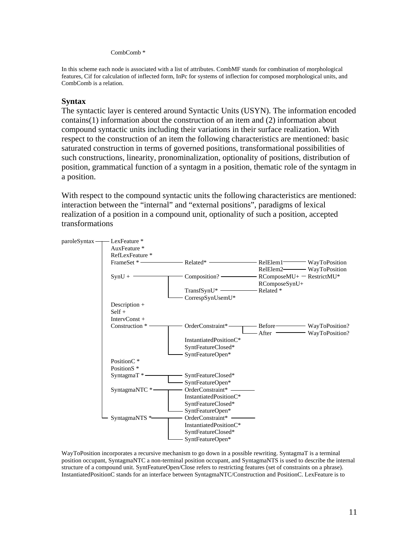### CombComb \*

In this scheme each node is associated with a list of attributes. CombMF stands for combination of morphological features, Cif for calculation of inflected form, InPc for systems of inflection for composed morphological units, and CombComb is a relation.

## **Syntax**

The syntactic layer is centered around Syntactic Units (USYN). The information encoded contains(1) information about the construction of an item and (2) information about compound syntactic units including their variations in their surface realization. With respect to the construction of an item the following characteristics are mentioned: basic saturated construction in terms of governed positions, transformational possibilities of such constructions, linearity, pronominalization, optionality of positions, distribution of position, grammatical function of a syntagm in a position, thematic role of the syntagm in a position.

With respect to the compound syntactic units the following characteristics are mentioned: interaction between the "internal" and "external positions", paradigms of lexical realization of a position in a compound unit, optionality of such a position, accepted transformations



WayToPosition incorporates a recursive mechanism to go down in a possible rewriting. SyntagmaT is a terminal position occupant, SyntagmaNTC a non-terminal position occupant, and SyntagmaNTS is used to describe the internal structure of a compound unit. SyntFeatureOpen/Close refers to restricting features (set of constraints on a phrase). InstantiatedPositionC stands for an interface between SyntagmaNTC/Construction and PositionC. LexFeature is to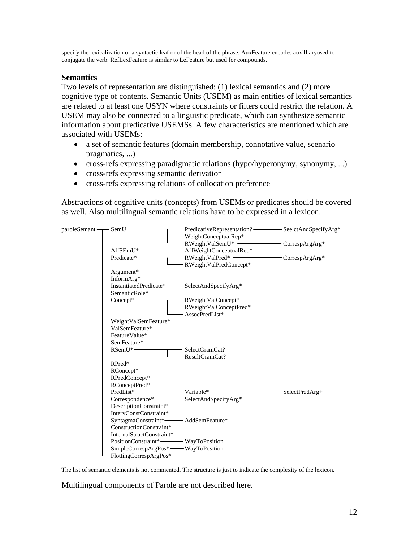specify the lexicalization of a syntactic leaf or of the head of the phrase. AuxFeature encodes auxilliaryused to conjugate the verb. RefLexFeature is similar to LeFeature but used for compounds.

## **Semantics**

Two levels of representation are distinguished: (1) lexical semantics and (2) more cognitive type of contents. Semantic Units (USEM) as main entities of lexical semantics are related to at least one USYN where constraints or filters could restrict the relation. A USEM may also be connected to a linguistic predicate, which can synthesize semantic information about predicative USEMSs. A few characteristics are mentioned which are associated with USEMs:

- a set of semantic features (domain membership, connotative value, scenario pragmatics, ...)
- cross-refs expressing paradigmatic relations (hypo/hyperonymy, synonymy, ...)
- cross-refs expressing semantic derivation
- cross-refs expressing relations of collocation preference

Abstractions of cognitive units (concepts) from USEMs or predicates should be covered as well. Also multilingual semantic relations have to be expressed in a lexicon.



The list of semantic elements is not commented. The structure is just to indicate the complexity of the lexicon.

Multilingual components of Parole are not described here.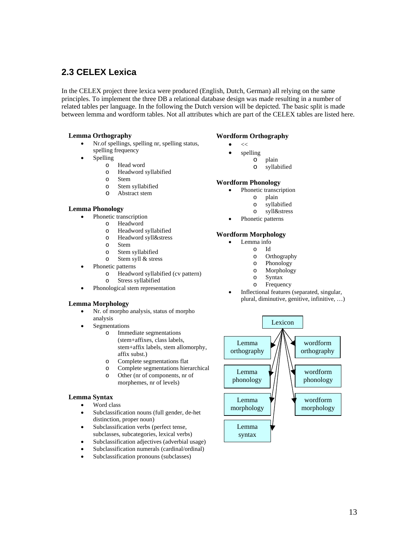## **2.3 CELEX Lexica**

In the CELEX project three lexica were produced (English, Dutch, German) all relying on the same principles. To implement the three DB a relational database design was made resulting in a number of related tables per language. In the following the Dutch version will be depicted. The basic split is made between lemma and wordform tables. Not all attributes which are part of the CELEX tables are listed here.

### **Lemma Orthography**

- Nr.of spellings, spelling nr, spelling status, spelling frequency
- **Spelling** 
	- o Head word
		- o Headword syllabified
	- o Stem
	- o Stem syllabified
	- o Abstract stem

### **Lemma Phonology**

- Phonetic transcription
	- o Headword
		- o Headword syllabified
		- o Headword syll&stress
		- o Stem
		- o Stem syllabified
		- o Stem syll & stress
- Phonetic patterns
	- o Headword syllabified (cv pattern) o Stress syllabified
- Phonological stem representation

### **Lemma Morphology**

- Nr. of morpho analysis, status of morpho analysis
- **Segmentations** 
	- o Immediate segmentations (stem+affixes, class labels, stem+affix labels, stem allomorphy, affix subst.)
	- o Complete segmentations flat
	- o Complete segmentations hierarchical o Other (nr of components, nr of morphemes, nr of levels)

#### **Lemma Syntax**

- Word class
- Subclassification nouns (full gender, de-het distinction, proper noun)
- Subclassification verbs (perfect tense, subclasses, subcategories, lexical verbs)
- Subclassification adjectives (adverbial usage)
- Subclassification numerals (cardinal/ordinal)
- Subclassification pronouns (subclasses)

### **Wordform Orthography**

- $<<$
- spelling
	- o plain
		- o syllabified

#### **Wordform Phonology**

- Phonetic transcription
	- o plain
	- o syllabified
	- o syll&stress
- Phonetic patterns

### **Wordform Morphology**

- Lemma info
	- o Id
	- o Orthography
	- o Phonology
	- o Morphology
	- o Syntax
	- o Frequency
- Inflectional features (separated, singular, plural, diminutive, genitive, infinitive, …)

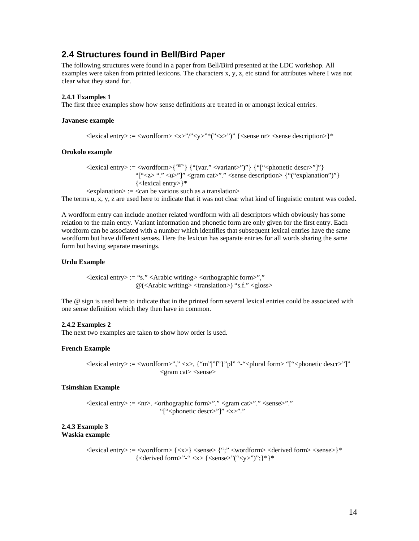## **2.4 Structures found in Bell/Bird Paper**

The following structures were found in a paper from Bell/Bird presented at the LDC workshop. All examples were taken from printed lexicons. The characters x, y, z, etc stand for attributes where I was not clear what they stand for.

### **2.4.1 Examples 1**

The first three examples show how sense definitions are treated in or amongst lexical entries.

#### **Javanese example**

 $\langle$  <lexical entry> :=  $\langle$ wordform>  $\langle x \rangle$ " $\langle y \rangle$ " $\langle y \rangle$ " $\langle x \rangle$ "" $\langle$  ( $\langle z \rangle$ ")"  $\langle \langle$   $\rangle$  <sense description> $\rangle^*$ 

### **Orokolo example**

<lexical entry> := <wordform>{<nr>} {"(var." <variant>")"} {"["<phonetic descr>"]"} "["<z>"." <u>"]" <gram cat>"." <sense description> {"("explanation")"} {<lexical entry>}\*

 $\leq$  explanation $\geq$  :=  $\leq$  can be various such as a translation $\geq$ 

The terms u, x, y, z are used here to indicate that it was not clear what kind of linguistic content was coded.

A wordform entry can include another related wordform with all descriptors which obviously has some relation to the main entry. Variant information and phonetic form are only given for the first entry. Each wordform can be associated with a number which identifies that subsequent lexical entries have the same wordform but have different senses. Here the lexicon has separate entries for all words sharing the same form but having separate meanings.

### **Urdu Example**

 $\langle$  = "s."  $\langle$   $\rangle$   $\langle$   $\rangle$   $\langle$   $\rangle$   $\langle$   $\rangle$   $\langle$   $\rangle$   $\langle$   $\rangle$   $\langle$   $\rangle$   $\langle$   $\rangle$   $\langle$   $\rangle$   $\langle$   $\rangle$   $\langle$   $\rangle$   $\langle$   $\rangle$   $\langle$   $\rangle$   $\langle$   $\rangle$   $\langle$   $\rangle$   $\langle$   $\rangle$   $\langle$   $\rangle$   $\langle$   $\rangle$   $\langle$   $\rangle$   $\langle$   $\rangle$   $\langle$   $\rangle$  $@(*Arabic* writing>*> stranslation<sup>></sup>*) "s.f." *gloss*$ 

The @ sign is used here to indicate that in the printed form several lexical entries could be associated with one sense definition which they then have in common.

#### **2.4.2 Examples 2**

The next two examples are taken to show how order is used.

#### **French Example**

<lexical entry> := <wordform>"," <x>, {"m"|"f"}"pl" "-"<plural form> "["<phonetic descr>"]"  $\langle$ gram cat $\rangle$  $\langle$ sense $\rangle$ 

### **Tsimshian Example**

<lexical entry> := <nr>. <orthographic form>"." <gram cat>"." <sense>"." " $\leq$ phonetic descr>"]"  $\leq$ x>"."

#### **2.4.3 Example 3 Waskia example**

 $\langle$  =  $\langle$ wordform>  $\langle x \rangle$  =  $\langle x \rangle$   $\langle x \rangle$   $\langle$   $\langle x \rangle$   $\langle$   $\langle x \rangle$   $\langle x \rangle$   $\langle x \rangle$   $\langle x \rangle$   $\langle x \rangle$   $\langle x \rangle$   $\langle x \rangle$   $\langle x \rangle$   $\langle x \rangle$   $\langle x \rangle$   $\langle x \rangle$   $\langle x \rangle$   $\langle x \rangle$   $\langle x \rangle$   $\langle x \rangle$   $\langle x \rangle$   $\langle x \rangle$   $\langle x \rangle$   $\langle x \rangle$   $\langle x$  $\{\langle\text{derived form}\rangle\text{''-``}\langle x\rangle\}\langle\langle\text{sense}\rangle\text{''``}\langle y\rangle\text{''})\rangle\}^*\}^*$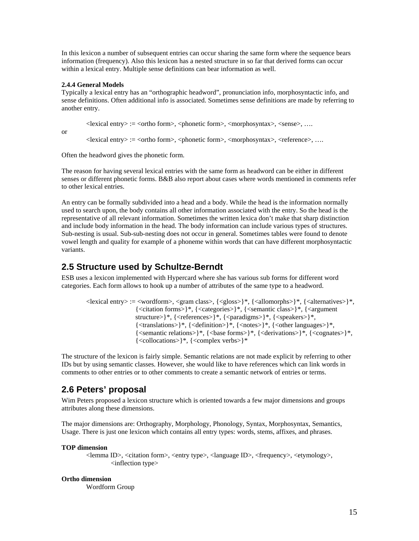In this lexicon a number of subsequent entries can occur sharing the same form where the sequence bears information (frequency). Also this lexicon has a nested structure in so far that derived forms can occur within a lexical entry. Multiple sense definitions can bear information as well.

## **2.4.4 General Models**

Typically a lexical entry has an "orthographic headword", pronunciation info, morphosyntactic info, and sense definitions. Often additional info is associated. Sometimes sense definitions are made by referring to another entry.

<lexical entry> := <ortho form>, <phonetic form>, <morphosyntax>, <sense>, ….

or

 $\langle$  =  $\langle$ ortho form $\rangle$ ,  $\langle$ phonetic form $\rangle$ ,  $\langle$ morphosyntax $\rangle$ ,  $\langle$ reference $\rangle$ , ...

Often the headword gives the phonetic form.

The reason for having several lexical entries with the same form as headword can be either in different senses or different phonetic forms. B&B also report about cases where words mentioned in comments refer to other lexical entries.

An entry can be formally subdivided into a head and a body. While the head is the information normally used to search upon, the body contains all other information associated with the entry. So the head is the representative of all relevant information. Sometimes the written lexica don't make that sharp distinction and include body information in the head. The body information can include various types of structures. Sub-nesting is usual. Sub-sub-nesting does not occur in general. Sometimes tables were found to denote vowel length and quality for example of a phoneme within words that can have different morphosyntactic variants.

## **2.5 Structure used by Schultze-Berndt**

ESB uses a lexicon implemented with Hypercard where she has various sub forms for different word categories. Each form allows to hook up a number of attributes of the same type to a headword.

```
\langle = \langle = \langle = \rangle = \langle = \langle = \rangle \langle \rangle \langle \rangle \langle = \rangle \langle \rangle \langle \rangle \langle \rangle \langle \rangle \langle \rangle \langle \rangle \langle \rangle \langle \rangle \langle \rangle \langle \rangle \langle \rangle \langle \rangle \langle \rangle \langle \rangle \\{\langle\text{citation forms}\rangle\}^*, \{\langle\text{categories}\rangle\}^*, \{\langle\text{semantic class}\rangle\}^*, \{\langle\text{cargument}\rangle\}^*,structure>}*, {<references>}*, {<paradigms>}*, {<speakers>}*,
                               {<translations>}*, {<definition>}*, {<notes>}*, {<other languages>}*, 
                               {<semantic relations>}*, {<base forms>}*, {<derivations>}*, {<cognates>}*, 
                               {<collocations>}*, {<complex verbs>}*
```
The structure of the lexicon is fairly simple. Semantic relations are not made explicit by referring to other IDs but by using semantic classes. However, she would like to have references which can link words in comments to other entries or to other comments to create a semantic network of entries or terms.

## **2.6 Peters' proposal**

Wim Peters proposed a lexicon structure which is oriented towards a few major dimensions and groups attributes along these dimensions.

The major dimensions are: Orthography, Morphology, Phonology, Syntax, Morphosyntax, Semantics, Usage. There is just one lexicon which contains all entry types: words, stems, affixes, and phrases.

## **TOP dimension**

 $\epsilon$ lemma ID>,  $\epsilon$ citation form>,  $\epsilon$ entry type>,  $\epsilon$ language ID>,  $\epsilon$ frequency>,  $\epsilon$ etymology>, <inflection type>

## **Ortho dimension**

Wordform Group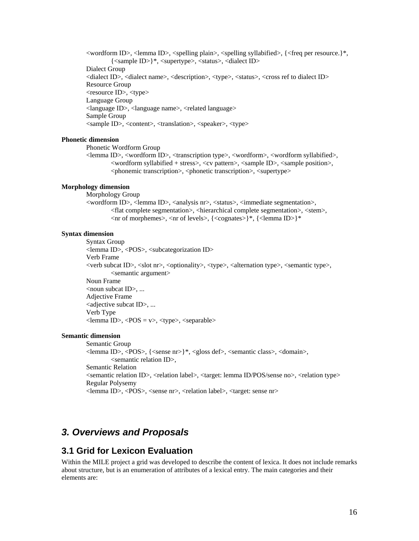$\alpha$  <wordform ID>, <lemma ID>, <spelling plain>, <spelling syllabified>, {<freq per resource.}\*, {<sample ID>}\*, <supertype>, <status>, <dialect ID> Dialect Group <dialect ID>, <dialect name>, <description>, <type>, <status>, <cross ref to dialect ID> Resource Group <resource ID>, <type> Language Group <language ID>, <language name>, <related language> Sample Group <sample ID>, <content>, <translation>, <speaker>, <type>

## **Phonetic dimension**

Phonetic Wordform Group

<lemma ID>, <wordform ID>, <transcription type>, <wordform>, <wordform syllabified>, <wordform syllabified + stress>, <cv pattern>, <sample ID>, <sample position>, <phonemic transcription>, <phonetic transcription>, <supertype>

#### **Morphology dimension**

Morphology Group

<wordform ID>, <lemma ID>, <analysis nr>, <status>, <immediate segmentation>, <flat complete segmentation>, <hierarchical complete segmentation>, <stem>, <nr of morphemes>, <nr of levels>, {<cognates>}\*, {<lemma ID>}\*

#### **Syntax dimension**

 Syntax Group <lemma ID>, <POS>, <subcategorization ID> Verb Frame <verb subcat ID>, <slot nr>, <optionality>, <type>, <alternation type>, <semantic type>, <semantic argument> Noun Frame  $\le$ noun subcat ID $\ge$ , ... Adjective Frame <adjective subcat ID>, ... Verb Type  $\langle$ lemma ID>,  $\langle POS = v\rangle$ ,  $\langle type \rangle$ ,  $\langle separable \rangle$ 

## **Semantic dimension**

Semantic Group <lemma ID>, <POS>, {<sense nr>}\*, <gloss def>, <semantic class>, <domain>,  $\le$ semantic relation ID $>$ . Semantic Relation <semantic relation ID>, <relation label>, <target: lemma ID/POS/sense no>, <relation type> Regular Polysemy <lemma ID>, <POS>, <sense nr>, <relation label>, <target: sense nr>

## *3. Overviews and Proposals*

## **3.1 Grid for Lexicon Evaluation**

Within the MILE project a grid was developed to describe the content of lexica. It does not include remarks about structure, but is an enumeration of attributes of a lexical entry. The main categories and their elements are: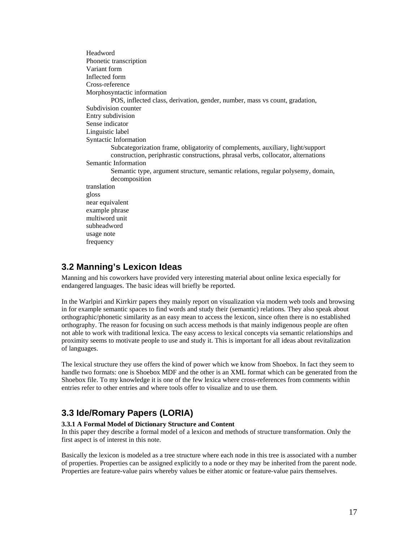Headword Phonetic transcription Variant form Inflected form Cross-reference Morphosyntactic information POS, inflected class, derivation, gender, number, mass vs count, gradation, Subdivision counter Entry subdivision Sense indicator Linguistic label Syntactic Information Subcategorization frame, obligatority of complements, auxiliary, light/support construction, periphrastic constructions, phrasal verbs, collocator, alternations Semantic Information Semantic type, argument structure, semantic relations, regular polysemy, domain, decomposition translation gloss near equivalent example phrase multiword unit subheadword usage note frequency

## **3.2 Manning's Lexicon Ideas**

Manning and his coworkers have provided very interesting material about online lexica especially for endangered languages. The basic ideas will briefly be reported.

In the Warlpiri and Kirrkirr papers they mainly report on visualization via modern web tools and browsing in for example semantic spaces to find words and study their (semantic) relations. They also speak about orthographic/phonetic similarity as an easy mean to access the lexicon, since often there is no established orthography. The reason for focusing on such access methods is that mainly indigenous people are often not able to work with traditional lexica. The easy access to lexical concepts via semantic relationships and proximity seems to motivate people to use and study it. This is important for all ideas about revitalization of languages.

The lexical structure they use offers the kind of power which we know from Shoebox. In fact they seem to handle two formats: one is Shoebox MDF and the other is an XML format which can be generated from the Shoebox file. To my knowledge it is one of the few lexica where cross-references from comments within entries refer to other entries and where tools offer to visualize and to use them.

## **3.3 Ide/Romary Papers (LORIA)**

## **3.3.1 A Formal Model of Dictionary Structure and Content**

In this paper they describe a formal model of a lexicon and methods of structure transformation. Only the first aspect is of interest in this note.

Basically the lexicon is modeled as a tree structure where each node in this tree is associated with a number of properties. Properties can be assigned explicitly to a node or they may be inherited from the parent node. Properties are feature-value pairs whereby values be either atomic or feature-value pairs themselves.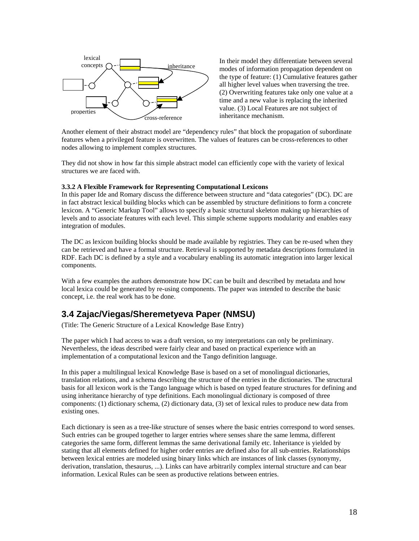

In their model they differentiate between several modes of information propagation dependent on the type of feature: (1) Cumulative features gather all higher level values when traversing the tree. (2) Overwriting features take only one value at a time and a new value is replacing the inherited value. (3) Local Features are not subject of inheritance mechanism.

Another element of their abstract model are "dependency rules" that block the propagation of subordinate features when a privileged feature is overwritten. The values of features can be cross-references to other nodes allowing to implement complex structures.

They did not show in how far this simple abstract model can efficiently cope with the variety of lexical structures we are faced with.

#### **3.3.2 A Flexible Framework for Representing Computational Lexicons**

In this paper Ide and Romary discuss the difference between structure and "data categories" (DC). DC are in fact abstract lexical building blocks which can be assembled by structure definitions to form a concrete lexicon. A "Generic Markup Tool" allows to specify a basic structural skeleton making up hierarchies of levels and to associate features with each level. This simple scheme supports modularity and enables easy integration of modules.

The DC as lexicon building blocks should be made available by registries. They can be re-used when they can be retrieved and have a formal structure. Retrieval is supported by metadata descriptions formulated in RDF. Each DC is defined by a style and a vocabulary enabling its automatic integration into larger lexical components.

With a few examples the authors demonstrate how DC can be built and described by metadata and how local lexica could be generated by re-using components. The paper was intended to describe the basic concept, i.e. the real work has to be done.

## **3.4 Zajac/Viegas/Sheremetyeva Paper (NMSU)**

(Title: The Generic Structure of a Lexical Knowledge Base Entry)

The paper which I had access to was a draft version, so my interpretations can only be preliminary. Nevertheless, the ideas described were fairly clear and based on practical experience with an implementation of a computational lexicon and the Tango definition language.

In this paper a multilingual lexical Knowledge Base is based on a set of monolingual dictionaries, translation relations, and a schema describing the structure of the entries in the dictionaries. The structural basis for all lexicon work is the Tango language which is based on typed feature structures for defining and using inheritance hierarchy of type definitions. Each monolingual dictionary is composed of three components: (1) dictionary schema, (2) dictionary data, (3) set of lexical rules to produce new data from existing ones.

Each dictionary is seen as a tree-like structure of senses where the basic entries correspond to word senses. Such entries can be grouped together to larger entries where senses share the same lemma, different categories the same form, different lemmas the same derivational family etc. Inheritance is yielded by stating that all elements defined for higher order entries are defined also for all sub-entries. Relationships between lexical entries are modeled using binary links which are instances of link classes (synonymy, derivation, translation, thesaurus, ...). Links can have arbitrarily complex internal structure and can bear information. Lexical Rules can be seen as productive relations between entries.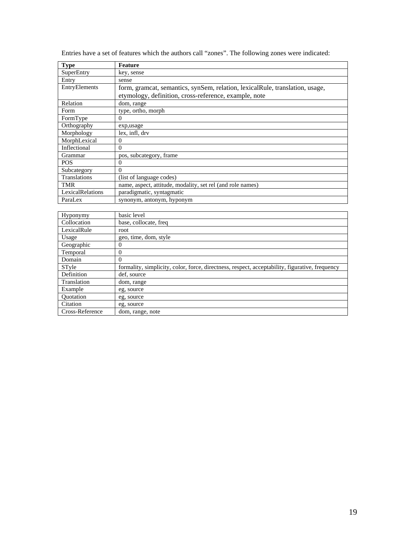| <b>Type</b>             | <b>Feature</b>                                                                                 |
|-------------------------|------------------------------------------------------------------------------------------------|
| <b>SuperEntry</b>       | key, sense                                                                                     |
| Entry                   | sense                                                                                          |
| EntryElements           | form, gramcat, semantics, synSem, relation, lexicalRule, translation, usage,                   |
|                         | etymology, definition, cross-reference, example, note                                          |
| Relation                | dom, range                                                                                     |
| Form                    | type, ortho, morph                                                                             |
| FormType                | $\theta$                                                                                       |
| Orthography             | exp,usage                                                                                      |
| Morphology              | lex, infl, drv                                                                                 |
| MorphLexical            | $\Omega$                                                                                       |
| Inflectional            | $\theta$                                                                                       |
| Grammar                 | pos, subcategory, frame                                                                        |
| <b>POS</b>              | $\theta$                                                                                       |
| Subcategory             | $\theta$                                                                                       |
| Translations            | (list of language codes)                                                                       |
| <b>TMR</b>              | name, aspect, attitude, modality, set rel (and role names)                                     |
| <b>LexicalRelations</b> | paradigmatic, syntagmatic                                                                      |
| ParaLex                 | synonym, antonym, hyponym                                                                      |
|                         |                                                                                                |
| Hyponymy                | basic level                                                                                    |
| Collocation             | base, collocate, freq                                                                          |
| LexicalRule             | root                                                                                           |
| Usage                   | geo, time, dom, style                                                                          |
| Geographic              | $\mathbf{0}$                                                                                   |
| Temporal                | $\overline{0}$                                                                                 |
| Domain                  | $\theta$                                                                                       |
| STyle                   | formality, simplicity, color, force, directness, respect, acceptability, figurative, frequency |
| Definition              | def, source                                                                                    |
| Translation             | dom, range                                                                                     |
| Example                 | eg, source                                                                                     |

Quotation eg, source<br>Citation eg, source Citation eg, source Cross-Reference dom, range, note

Entries have a set of features which the authors call "zones". The following zones were indicated: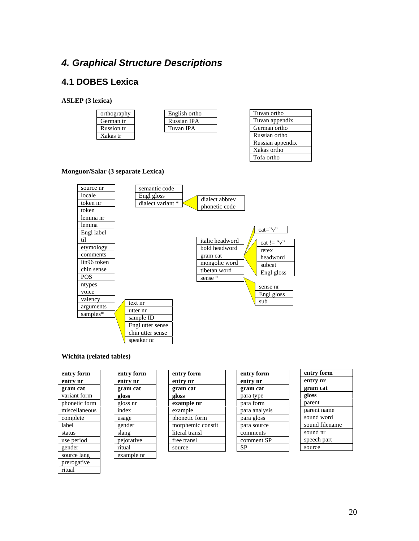## *4. Graphical Structure Descriptions*

## **4.1 DOBES Lexica**

### **ASLEP (3 lexica)**

| orthography       |  |
|-------------------|--|
| German tr         |  |
|                   |  |
| <b>Russion</b> tr |  |

| English ortho |
|---------------|
| Russian IPA   |
| Tuvan IPA     |
|               |

| Tuvan ortho      |
|------------------|
| Tuvan appendix   |
| German ortho     |
| Russian ortho    |
| Russian appendix |
| Xakas ortho      |
| Tofa ortho       |
|                  |

## **Monguor/Salar (3 separate Lexica)**



### **Wichita (related tables)**

| entry form    |  |
|---------------|--|
| entry nr      |  |
| gram cat      |  |
| variant form  |  |
| phonetic form |  |
| miscellaneous |  |
| complete      |  |
| label         |  |
| status        |  |
| use period    |  |
| gender        |  |
| source lang   |  |
| prerogative   |  |
| ritual        |  |

| entry form | entry for   |
|------------|-------------|
| entry nr   | entry nr    |
| gram cat   | gram ca     |
| gloss      | gloss       |
| gloss nr   | example     |
| index      | example     |
| usage      | phonetic    |
| gender     | morphen     |
| slang      | literal tra |
| pejorative | free trans  |
| ritual     | source      |
| example nr |             |

| entry form        |  |
|-------------------|--|
| entry nr          |  |
| gram cat          |  |
| gloss             |  |
| example nr        |  |
| example           |  |
| phonetic form     |  |
| morphemic constit |  |
| literal transl    |  |
| free transl       |  |
| source            |  |
|                   |  |

| entry form    |
|---------------|
| entry nr      |
| gram cat      |
| para type     |
| para form     |
| para analysis |
| para gloss    |
| para source   |
| comments      |
| comment SP    |
| SP            |
|               |

| entry form     |
|----------------|
| entry nr       |
| gram cat       |
| gloss          |
| parent         |
| parent name    |
| sound word     |
| sound filename |
| sound nr       |
| speech part    |
| source         |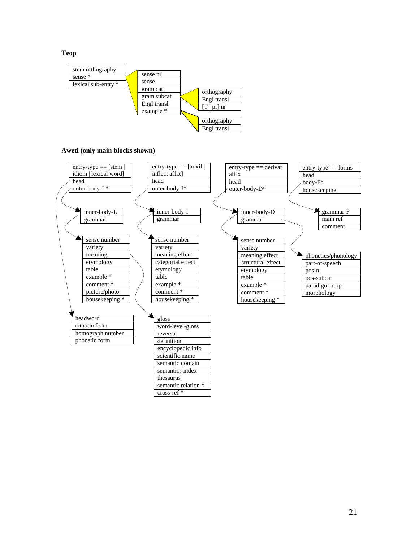**Teop**



**Aweti (only main blocks shown)** 

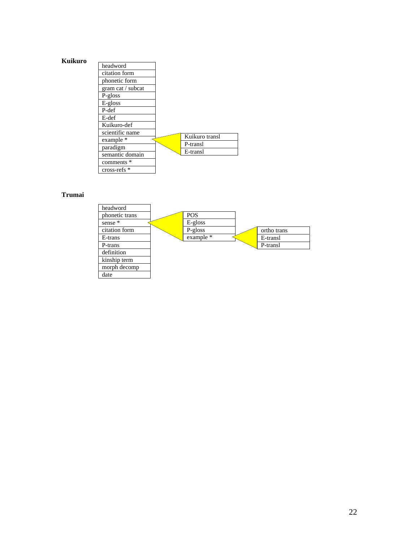

| headword          |                |
|-------------------|----------------|
| citation form     |                |
| phonetic form     |                |
| gram cat / subcat |                |
| P-gloss           |                |
| E-gloss           |                |
| P-def             |                |
| E-def             |                |
| Kuikuro-def       |                |
| scientific name   |                |
| example *         | Kuikuro transl |
| paradigm          | P-transl       |
| semantic domain   | E-transl       |
|                   |                |
| comments *        |                |
| cross-refs *      |                |

**Trumai**

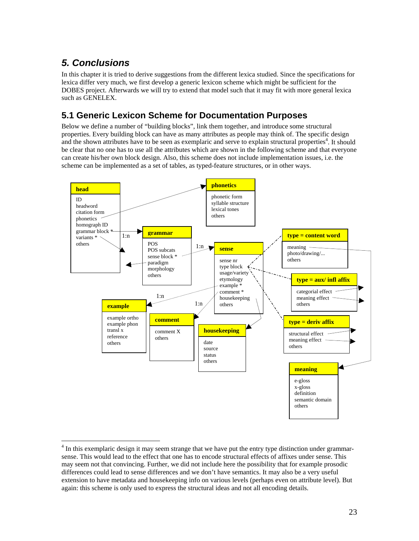# *5. Conclusions*

 $\overline{a}$ 

In this chapter it is tried to derive suggestions from the different lexica studied. Since the specifications for lexica differ very much, we first develop a generic lexicon scheme which might be sufficient for the DOBES project. Afterwards we will try to extend that model such that it may fit with more general lexica such as GENELEX.

## **5.1 Generic Lexicon Scheme for Documentation Purposes**

Below we define a number of "building blocks", link them together, and introduce some structural properties. Every building block can have as many attributes as people may think of. The specific design and the shown attributes have to be seen as exemplaric and serve to explain structural properties<sup>4</sup>. It should be clear that no one has to use all the attributes which are shown in the following scheme and that everyone can create his/her own block design. Also, this scheme does not include implementation issues, i.e. the scheme can be implemented as a set of tables, as typed-feature structures, or in other ways.



<sup>&</sup>lt;sup>4</sup> In this exemplaric design it may seem strange that we have put the entry type distinction under grammarsense. This would lead to the effect that one has to encode structural effects of affixes under sense. This may seem not that convincing. Further, we did not include here the possibility that for example prosodic differences could lead to sense differences and we don't have semantics. It may also be a very useful extension to have metadata and housekeeping info on various levels (perhaps even on attribute level). But again: this scheme is only used to express the structural ideas and not all encoding details.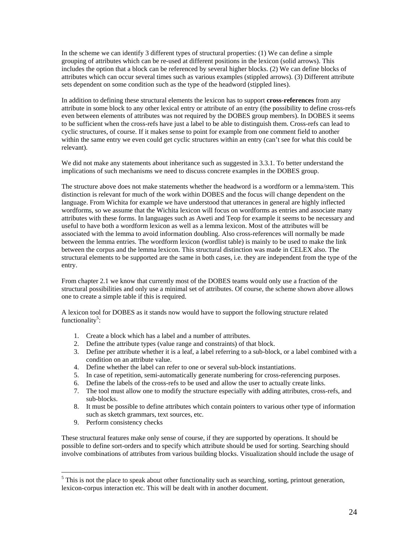In the scheme we can identify 3 different types of structural properties: (1) We can define a simple grouping of attributes which can be re-used at different positions in the lexicon (solid arrows). This includes the option that a block can be referenced by several higher blocks. (2) We can define blocks of attributes which can occur several times such as various examples (stippled arrows). (3) Different attribute sets dependent on some condition such as the type of the headword (stippled lines).

In addition to defining these structural elements the lexicon has to support **cross-references** from any attribute in some block to any other lexical entry or attribute of an entry (the possibility to define cross-refs even between elements of attributes was not required by the DOBES group members). In DOBES it seems to be sufficient when the cross-refs have just a label to be able to distinguish them. Cross-refs can lead to cyclic structures, of course. If it makes sense to point for example from one comment field to another within the same entry we even could get cyclic structures within an entry (can't see for what this could be relevant).

We did not make any statements about inheritance such as suggested in 3.3.1. To better understand the implications of such mechanisms we need to discuss concrete examples in the DOBES group.

The structure above does not make statements whether the headword is a wordform or a lemma/stem. This distinction is relevant for much of the work within DOBES and the focus will change dependent on the language. From Wichita for example we have understood that utterances in general are highly inflected wordforms, so we assume that the Wichita lexicon will focus on wordforms as entries and associate many attributes with these forms. In languages such as Aweti and Teop for example it seems to be necessary and useful to have both a wordform lexicon as well as a lemma lexicon. Most of the attributes will be associated with the lemma to avoid information doubling. Also cross-references will normally be made between the lemma entries. The wordform lexicon (wordlist table) is mainly to be used to make the link between the corpus and the lemma lexicon. This structural distinction was made in CELEX also. The structural elements to be supported are the same in both cases, i.e. they are independent from the type of the entry.

From chapter 2.1 we know that currently most of the DOBES teams would only use a fraction of the structural possibilities and only use a minimal set of attributes. Of course, the scheme shown above allows one to create a simple table if this is required.

A lexicon tool for DOBES as it stands now would have to support the following structure related functionality<sup>5</sup>:

- 1. Create a block which has a label and a number of attributes.
- 2. Define the attribute types (value range and constraints) of that block.
- 3. Define per attribute whether it is a leaf, a label referring to a sub-block, or a label combined with a condition on an attribute value.
- 4. Define whether the label can refer to one or several sub-block instantiations.
- 5. In case of repetition, semi-automatically generate numbering for cross-referencing purposes.
- 6. Define the labels of the cross-refs to be used and allow the user to actually create links.
- 7. The tool must allow one to modify the structure especially with adding attributes, cross-refs, and sub-blocks.
- 8. It must be possible to define attributes which contain pointers to various other type of information such as sketch grammars, text sources, etc.
- 9. Perform consistency checks

 $\overline{a}$ 

These structural features make only sense of course, if they are supported by operations. It should be possible to define sort-orders and to specify which attribute should be used for sorting. Searching should involve combinations of attributes from various building blocks. Visualization should include the usage of

 $<sup>5</sup>$  This is not the place to speak about other functionality such as searching, sorting, printout generation,</sup> lexicon-corpus interaction etc. This will be dealt with in another document.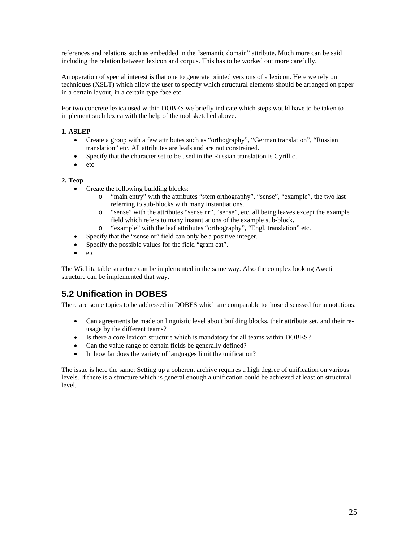references and relations such as embedded in the "semantic domain" attribute. Much more can be said including the relation between lexicon and corpus. This has to be worked out more carefully.

An operation of special interest is that one to generate printed versions of a lexicon. Here we rely on techniques (XSLT) which allow the user to specify which structural elements should be arranged on paper in a certain layout, in a certain type face etc.

For two concrete lexica used within DOBES we briefly indicate which steps would have to be taken to implement such lexica with the help of the tool sketched above.

## **1. ASLEP**

- Create a group with a few attributes such as "orthography", "German translation", "Russian translation" etc. All attributes are leafs and are not constrained.
- Specify that the character set to be used in the Russian translation is Cyrillic.
- etc

## **2. Teop**

- Create the following building blocks:
	- o "main entry" with the attributes "stem orthography", "sense", "example", the two last referring to sub-blocks with many instantiations.
	- o "sense" with the attributes "sense nr", "sense", etc. all being leaves except the example field which refers to many instantiations of the example sub-block.
	- o "example" with the leaf attributes "orthography", "Engl. translation" etc.
- Specify that the "sense nr" field can only be a positive integer.
- Specify the possible values for the field "gram cat".
- etc

The Wichita table structure can be implemented in the same way. Also the complex looking Aweti structure can be implemented that way.

## **5.2 Unification in DOBES**

There are some topics to be addressed in DOBES which are comparable to those discussed for annotations:

- Can agreements be made on linguistic level about building blocks, their attribute set, and their reusage by the different teams?
- Is there a core lexicon structure which is mandatory for all teams within DOBES?
- Can the value range of certain fields be generally defined?
- In how far does the variety of languages limit the unification?

The issue is here the same: Setting up a coherent archive requires a high degree of unification on various levels. If there is a structure which is general enough a unification could be achieved at least on structural level.